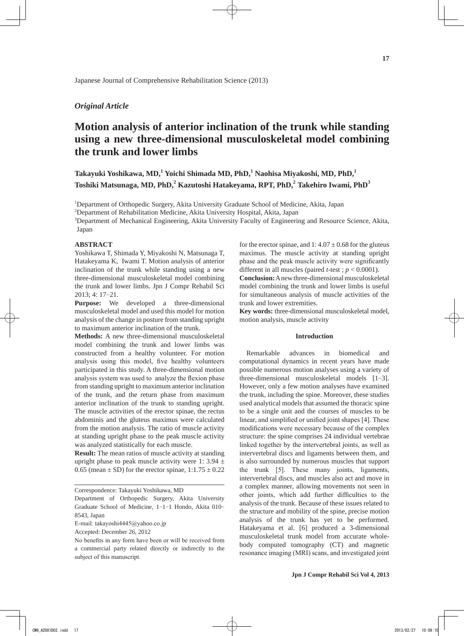## *Original Article*

# **Motion analysis of anterior inclination of the trunk while standing using a new three-dimensional musculoskeletal model combining the trunk and lower limbs**

**Takayuki Yoshikawa, MD,<sup>1</sup> Yoichi Shimada MD, PhD,<sup>1</sup> Naohisa Miyakoshi, MD, PhD,<sup>1</sup> Toshiki Matsunaga, MD, PhD,<sup>2</sup> Kazutoshi Hatakeyama, RPT, PhD,2 Takehiro Iwami, PhD<sup>3</sup>**

<sup>1</sup>Department of Orthopedic Surgery, Akita University Graduate School of Medicine, Akita, Japan

<sup>2</sup>Department of Rehabilitation Medicine, Akita University Hospital, Akita, Japan

<sup>3</sup>Department of Mechanical Engineering, Akita University Faculty of Engineering and Resource Science, Akita, Japan

## **ABSTRACT**

Yoshikawa T, Shimada Y, Miyakoshi N, Matsunaga T, Hatakeyama K, Iwami T. Motion analysis of anterior inclination of the trunk while standing using a new three-dimensional musculoskeletal model combining the trunk and lower limbs. Jpn J Compr Rehabil Sci 2013; 4: 17-21.

**Purpose:** We developed a three-dimensional musculoskeletal model and used this model for motion analysis of the change in posture from standing upright to maximum anterior inclination of the trunk.

**Methods:** A new three-dimensional musculoskeletal model combining the trunk and lower limbs was constructed from a healthy volunteer. For motion analysis using this model, five healthy volunteers participated in this study. A three-dimensional motion analysis system was used to analyze the flexion phase from standing upright to maximum anterior inclination of the trunk, and the return phase from maximum anterior inclination of the trunk to standing upright. The muscle activities of the erector spinae, the rectus abdominis and the gluteus maximus were calculated from the motion analysis. The ratio of muscle activity at standing upright phase to the peak muscle activity was analyzed statistically for each muscle.

**Result:** The mean ratios of muscle activity at standing upright phase to peak muscle activity were 1: 3.94  $\pm$ 0.65 (mean  $\pm$  SD) for the erector spinae,  $1:1.75 \pm 0.22$ 

Correspondence: Takayuki Yoshikawa, MD

E-mail: takayoshi4445@yahoo.co.jp

Accepted: December 26, 2012

No benefits in any form have been or will be received from a commercial party related directly or indirectly to the subject of this manuscript.

for the erector spinae, and  $1: 4.07 \pm 0.68$  for the gluteus maximus. The muscle activity at standing upright phase and the peak muscle activity were significantly different in all muscles (paired *t*-test ; *p* < 0.0001).

**Conclusion:** A new three-dimensional musculoskeletal model combining the trunk and lower limbs is useful for simultaneous analysis of muscle activities of the trunk and lower extremities.

**Key words:** three-dimensional musculoskeletal model, motion analysis, muscle activity

#### **Introduction**

Remarkable advances in biomedical and computational dynamics in recent years have made possible numerous motion analyses using a variety of three-dimensional musculoskeletal models [1-3]. However, only a few motion analyses have examined the trunk, including the spine. Moreover, these studies used analytical models that assumed the thoracic spine to be a single unit and the courses of muscles to be linear, and simplified or unified joint shapes [4]. These modifications were necessary because of the complex structure: the spine comprises 24 individual vertebrae linked together by the intervertebral joints, as well as intervertebral discs and ligaments between them, and is also surrounded by numerous muscles that support the trunk [5]. These many joints, ligaments, intervertebral discs, and muscles also act and move in a complex manner, allowing movements not seen in other joints, which add further difficulties to the analysis of the trunk. Because of these issues related to the structure and mobility of the spine, precise motion analysis of the trunk has yet to be performed. Hatakeyama et al. [6] produced a 3-dimensional musculoskeletal trunk model from accurate wholebody computed tomography (CT) and magnetic resonance imaging (MRI) scans, and investigated joint

Department of Orthopedic Surgery, Akita University Graduate School of Medicine, 1-1-1 Hondo, Akita 010- 8543, Japan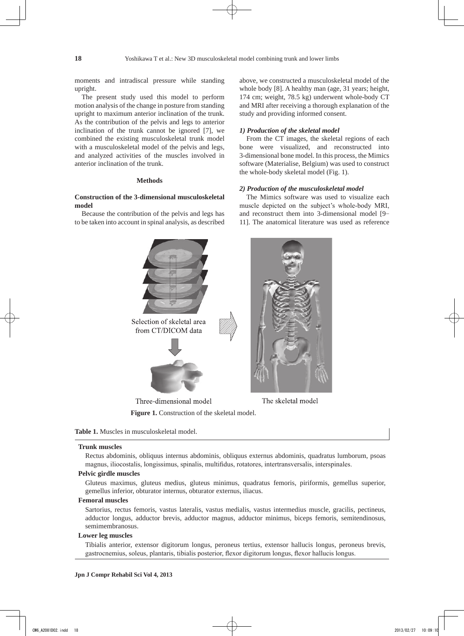moments and intradiscal pressure while standing upright.

The present study used this model to perform motion analysis of the change in posture from standing upright to maximum anterior inclination of the trunk. As the contribution of the pelvis and legs to anterior inclination of the trunk cannot be ignored [7], we combined the existing musculoskeletal trunk model with a musculoskeletal model of the pelvis and legs, and analyzed activities of the muscles involved in anterior inclination of the trunk.

## **Methods**

## **Construction of the 3-dimensional musculoskeletal model**

Because the contribution of the pelvis and legs has to be taken into account in spinal analysis, as described above, we constructed a musculoskeletal model of the whole body [8]. A healthy man (age, 31 years; height, 174 cm; weight, 78.5 kg) underwent whole-body CT and MRI after receiving a thorough explanation of the study and providing informed consent.

## *1) Production of the skeletal model*

From the CT images, the skeletal regions of each bone were visualized, and reconstructed into 3-dimensional bone model. In this process, the Mimics software (Materialise, Belgium) was used to construct the whole-body skeletal model (Fig. 1).

#### *2) Production of the musculoskeletal model*

The Mimics software was used to visualize each muscle depicted on the subject's whole-body MRI, and reconstruct them into 3-dimensional model [9- 11]. The anatomical literature was used as reference





## **Trunk muscles**

Rectus abdominis, obliquus internus abdominis, obliquus externus abdominis, quadratus lumborum, psoas magnus, iliocostalis, longissimus, spinalis, multifidus, rotatores, intertransversalis, interspinales.

## **Pelvic girdle muscles**

Gluteus maximus, gluteus medius, gluteus minimus, quadratus femoris, piriformis, gemellus superior, gemellus inferior, obturator internus, obturator externus, iliacus.

## **Femoral muscles**

Sartorius, rectus femoris, vastus lateralis, vastus medialis, vastus intermedius muscle, gracilis, pectineus, adductor longus, adductor brevis, adductor magnus, adductor minimus, biceps femoris, semitendinosus, semimembranosus.

## **Lower leg muscles**

Tibialis anterior, extensor digitorum longus, peroneus tertius, extensor hallucis longus, peroneus brevis, gastrocnemius, soleus, plantaris, tibialis posterior, flexor digitorum longus, flexor hallucis longus.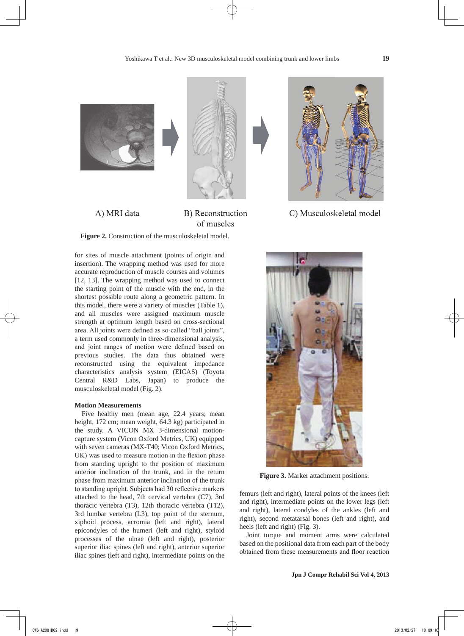



A) MRI data

B) Reconstruction of muscles

**Figure 2.** Construction of the musculoskeletal model.

for sites of muscle attachment (points of origin and insertion). The wrapping method was used for more accurate reproduction of muscle courses and volumes [12, 13]. The wrapping method was used to connect the starting point of the muscle with the end, in the shortest possible route along a geometric pattern. In this model, there were a variety of muscles (Table 1), and all muscles were assigned maximum muscle strength at optimum length based on cross-sectional area. All joints were defined as so-called "ball joints", a term used commonly in three-dimensional analysis, and joint ranges of motion were defined based on previous studies. The data thus obtained were reconstructed using the equivalent impedance characteristics analysis system (EICAS) (Toyota Central R&D Labs, Japan) to produce the musculoskeletal model (Fig. 2).

## **Motion Measurements**

Five healthy men (mean age, 22.4 years; mean height, 172 cm; mean weight, 64.3 kg) participated in the study. A VICON MX 3-dimensional motioncapture system (Vicon Oxford Metrics, UK) equipped with seven cameras (MX-T40; Vicon Oxford Metrics, UK) was used to measure motion in the flexion phase from standing upright to the position of maximum anterior inclination of the trunk, and in the return phase from maximum anterior inclination of the trunk to standing upright. Subjects had 30 reflective markers attached to the head, 7th cervical vertebra (C7), 3rd thoracic vertebra (T3), 12th thoracic vertebra (T12), 3rd lumbar vertebra (L3), top point of the sternum, xiphoid process, acromia (left and right), lateral epicondyles of the humeri (left and right), styloid processes of the ulnae (left and right), posterior superior iliac spines (left and right), anterior superior iliac spines (left and right), intermediate points on the



C) Musculoskeletal model



**Figure 3.** Marker attachment positions.

femurs (left and right), lateral points of the knees (left and right), intermediate points on the lower legs (left and right), lateral condyles of the ankles (left and right), second metatarsal bones (left and right), and heels (left and right) (Fig. 3).

Joint torque and moment arms were calculated based on the positional data from each part of the body obtained from these measurements and floor reaction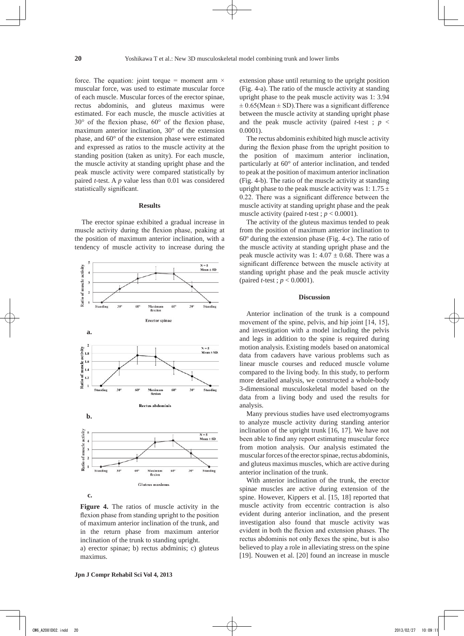force. The equation: joint torque = moment arm  $\times$ muscular force, was used to estimate muscular force of each muscle. Muscular forces of the erector spinae, rectus abdominis, and gluteus maximus were estimated. For each muscle, the muscle activities at 30° of the flexion phase, 60° of the flexion phase, maximum anterior inclination, 30° of the extension phase, and 60° of the extension phase were estimated and expressed as ratios to the muscle activity at the standing position (taken as unity). For each muscle, the muscle activity at standing upright phase and the peak muscle activity were compared statistically by paired *t*-test. A *p* value less than 0.01 was considered statistically significant.

## **Results**

The erector spinae exhibited a gradual increase in muscle activity during the flexion phase, peaking at the position of maximum anterior inclination, with a tendency of muscle activity to increase during the



**Figure 4.** The ratios of muscle activity in the flexion phase from standing upright to the position of maximum anterior inclination of the trunk, and in the return phase from maximum anterior inclination of the trunk to standing upright.

a) erector spinae; b) rectus abdminis; c) gluteus maximus.

The rectus abdominis exhibited high muscle activity during the flexion phase from the upright position to the position of maximum anterior inclination, particularly at 60° of anterior inclination, and tended to peak at the position of maximum anterior inclination (Fig. 4-b). The ratio of the muscle activity at standing upright phase to the peak muscle activity was 1:  $1.75 \pm$ 0.22. There was a significant difference between the muscle activity at standing upright phase and the peak muscle activity (paired *t*-test;  $p < 0.0001$ ).

The activity of the gluteus maximus tended to peak from the position of maximum anterior inclination to 60º during the extension phase (Fig. 4-c). The ratio of the muscle activity at standing upright phase and the peak muscle activity was 1:  $4.07 \pm 0.68$ . There was a significant difference between the muscle activity at standing upright phase and the peak muscle activity (paired *t*-test ; *p* < 0.0001).

## **Discussion**

Anterior inclination of the trunk is a compound movement of the spine, pelvis, and hip joint [14, 15], and investigation with a model including the pelvis and legs in addition to the spine is required during motion analysis. Existing models based on anatomical data from cadavers have various problems such as linear muscle courses and reduced muscle volume compared to the living body. In this study, to perform more detailed analysis, we constructed a whole-body 3-dimensional musculoskeletal model based on the data from a living body and used the results for analysis.

Many previous studies have used electromyograms to analyze muscle activity during standing anterior inclination of the upright trunk [16, 17]. We have not been able to find any report estimating muscular force from motion analysis. Our analysis estimated the muscular forces of the erector spinae, rectus abdominis, and gluteus maximus muscles, which are active during anterior inclination of the trunk.

With anterior inclination of the trunk, the erector spinae muscles are active during extension of the spine. However, Kippers et al. [15, 18] reported that muscle activity from eccentric contraction is also evident during anterior inclination, and the present investigation also found that muscle activity was evident in both the flexion and extension phases. The rectus abdominis not only flexes the spine, but is also believed to play a role in alleviating stress on the spine [19]. Nouwen et al. [20] found an increase in muscle